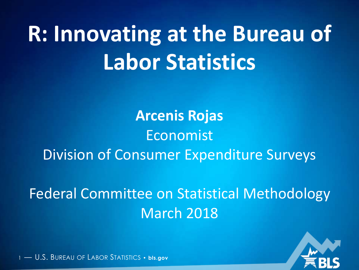# **R: Innovating at the Bureau of Labor Statistics**

**Arcenis Rojas** Economist Division of Consumer Expenditure Surveys

Federal Committee on Statistical Methodology March 2018

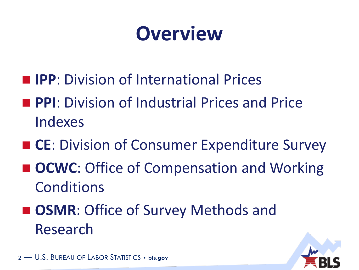### **Overview**

- **IPP**: Division of International Prices
- **PPI:** Division of Industrial Prices and Price Indexes
- CE: Division of Consumer Expenditure Survey
- OCWC: Office of Compensation and Working Conditions
- **DISMR: Office of Survey Methods and** Research

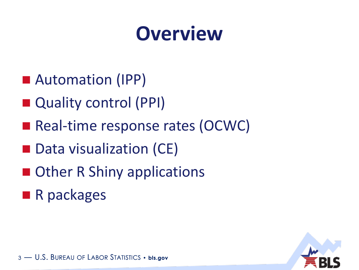### **Overview**

- Automation (IPP)
- Quality control (PPI)
- Real-time response rates (OCWC)
- Data visualization (CE)
- Other R Shiny applications
- **R** packages

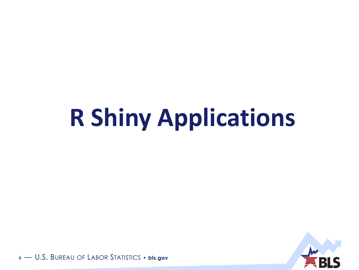# **R Shiny Applications**

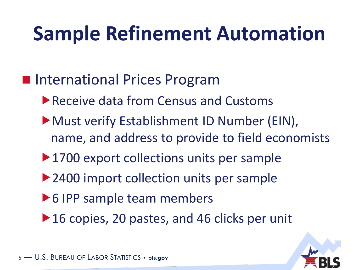### **Sample Refinement Automation**

- **International Prices Program** 
	- ▶ Receive data from Census and Customs
	- Must verify Establishment ID Number (EIN), name, and address to provide to field economists
	- ▶ 1700 export collections units per sample
	- ▶ 2400 import collection units per sample
	- ▶ 6 IPP sample team members
	- ▶ 16 copies, 20 pastes, and 46 clicks per unit

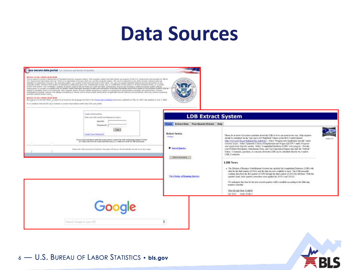### **Data Sources**

#### doe secure data portal (cs. Commonstrate Protection

**MEETLY TO ALL ANCARD ERAID NOW!**<br>
This are detected of the final based in each company space. This couples and this detection are provided at the state and the state of the state and the state of the state and provided i

spokes to all makes to be local to be been in the beginner of forms the form and Conditions moment, published in they in, 2007, het sphere in his 7, 2008.<br>By increase to the ADE field the agent to be settled to be beginnin





| Tribet sour ACE liker ED and Passworth to helity.<br>tinerDill<br><b>Rassaued:</b>                                                                                                                                                                                                                                                                        | <b>Home Extract Data Four-Quarter Extract Help</b>                                                           | <b>LDB Extract System</b>                                                                                                                                                                                                                                                                                                                                                                                                                                                                                                                                                                                                                                                                                                                                                                                                                                                                                                                                                                                                                                                                                                                                                                                                                                                                                              |                               |
|-----------------------------------------------------------------------------------------------------------------------------------------------------------------------------------------------------------------------------------------------------------------------------------------------------------------------------------------------------------|--------------------------------------------------------------------------------------------------------------|------------------------------------------------------------------------------------------------------------------------------------------------------------------------------------------------------------------------------------------------------------------------------------------------------------------------------------------------------------------------------------------------------------------------------------------------------------------------------------------------------------------------------------------------------------------------------------------------------------------------------------------------------------------------------------------------------------------------------------------------------------------------------------------------------------------------------------------------------------------------------------------------------------------------------------------------------------------------------------------------------------------------------------------------------------------------------------------------------------------------------------------------------------------------------------------------------------------------------------------------------------------------------------------------------------------------|-------------------------------|
| <b>Tright</b><br>funksi Waa Poormand"<br>If you need availables with the purial, planse capital the CIP Technology higgest Crolar<br>21 1-894-535-4172 for freely and PGA upper, or 1-808-937-8338 for CDP percensel.<br>Finance codes of the summarizing of brandistics. The explorer coll has you off automatizable and anti-arts for the trace summer. | <b>Robert Sation</b><br><b>Northeast</b><br>Saved Overles<br>Sama Western<br>View States of Russing Questies | Please let us know if you have questions about the LDB or if we can mate in my way. Help requires<br>should be submitted via the "one stop LAN HelpDesk" button on the BLS Cantral Interest-<br>(http://www.psh.bk.gov/telpdesk/ka. ledpitsk/) Select "Program and Application Specific" under-<br>General Types. Select "Quarterly Census of Employment and Woges (QCEW)" under Program<br>and Autobation Specific vectors. Select "Longitudinal Database (LDBF" axis-category. Provide<br>your Problem Description. Attachments if any, and User Importance Impact and click the "Substat"<br>butos. Compete, questos, or concersi about the LSB dan he relented directly via e-mail to<br>LDB Coraucti.<br><b>LDB News</b><br>· The Division of Business Establishment Systems has updated the Longitudiual Database (LDB) with<br>data for the first quarter of 2016, and the date are now available to seen. The LDB presently<br>contribute data them the first quarter of 1990 through the third quarter of 2016 for all States. With this<br>quarter's lead. hack quarter corrections were applied for 2016/1 and 2016/2.<br>We enterprise that data for the next several quarters will be available according to the following<br>tentative schedule:<br>Data facough Data Available<br>Q4 2016 week of his 3 | <b>Minnast</b><br>version 1.6 |
| Google<br>Search Gingin at how URL                                                                                                                                                                                                                                                                                                                        |                                                                                                              |                                                                                                                                                                                                                                                                                                                                                                                                                                                                                                                                                                                                                                                                                                                                                                                                                                                                                                                                                                                                                                                                                                                                                                                                                                                                                                                        |                               |

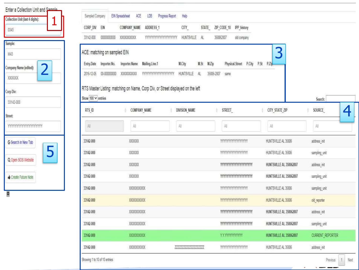| Enter a Collection Unit and Sample                 | Sampled Company              | LDB<br>Progress Report<br><b>EW Spreadsheet</b><br><b>ACE</b>                   | Help                 |                                    |                          |                         |
|----------------------------------------------------|------------------------------|---------------------------------------------------------------------------------|----------------------|------------------------------------|--------------------------|-------------------------|
| Collection Unit (last 4 digits):<br>1<br>0345      | CORP DIV EIN                 | COMPANY NAME<br>ADDRESS 1                                                       | CITY                 | STATE ZIP_CODE 10 IPP_history      |                          |                         |
|                                                    | 33142-000<br>0000000000      | YYYYYYYYYYYYYYYYYYYYY HUNTSVILLE AL<br>XXXXXXXX                                 |                      | 358062807<br>old company           |                          |                         |
| Sample:<br>M43                                     | ACE: matching on sampled EIN |                                                                                 |                      |                                    | 3                        |                         |
|                                                    | Entry.Date Importer.No.      | Importer.Name Mailing.Line.1                                                    | M.St M.Zip<br>M.City | Physical.Street P.City P.St P.Zip- |                          |                         |
| $\overline{2}$<br>Company Name (edited):<br>XXXXXX | 00-800000000<br>2016-12-05   | 1000000000                                                                      | 35606-2807           | same                               |                          |                         |
| Corp Div:                                          | Show 100 V entries           | RTS Master Listing: matching on Name, Corp Div, or Street displayed on the left |                      |                                    |                          | Search:                 |
| 33142-000                                          | RTS ID                       | COMPANY NAME                                                                    | DIVISION NAME        | STREET                             | CITY STATE ZIP           | SOURCE                  |
| Street:                                            |                              |                                                                                 |                      |                                    |                          | 4                       |
| <b>YYYYYYYYYYYYYYYYYYYYY</b>                       | 萜                            | 盐                                                                               | All                  | 却                                  | Ali.                     | 启                       |
| G Search in New Tab                                | 33142-000                    | XXXXXX                                                                          |                      |                                    | HUNTSVILLE AL 35806      | address init            |
| 5                                                  | 33142-000                    | XXXXXX                                                                          |                      | <b>YYYYYYYYYYYYYYYYY</b>           | HUNTSVILLE AL 35806      | sampling unit           |
| Q Open SOS Website                                 | 33142-000                    | XXXXXX                                                                          |                      | mmmmmmmm                           | HUNTSVILLE AL 358062807  | address init            |
| Create Future Note                                 | 33142-000                    | XXXXXX                                                                          |                      | <b>YYYYYYYYYYYYYYYYYYYYY</b>       | HUNT SVILLE AL 358062807 | sampling unit           |
|                                                    | 33142-000                    | XXXXXXXXX                                                                       |                      | <b>YYYYYYYYYYYYYYY</b>             | HUNTSVILLE AL 35806      | sampling unit           |
|                                                    | 33142-000                    | XXXXXXXXX                                                                       |                      | <b>YYYYYYYYYYYYYYYY</b>            | HUNTSVILLE AL 35806      | old reporter            |
|                                                    | 33142-000                    | XXXXXXXXX                                                                       |                      | mmmmmmmm                           | HUNTSVILLE AL 358062807  | address init            |
|                                                    | 33142-000                    | XXXXXXXXXX                                                                      |                      | <b>YYYYYYYYYYYYYYYYYYYYYY</b>      | HUNT SVILLE AL 358062807 | sampling unit           |
|                                                    |                              |                                                                                 |                      |                                    |                          |                         |
|                                                    | 33142-000                    | XXXXXXXXXX                                                                      |                      | YYYYYYYYYYYY                       | HUNTSVILLE AL 358062807  | <b>CURRENT REPORTER</b> |

 $\sim$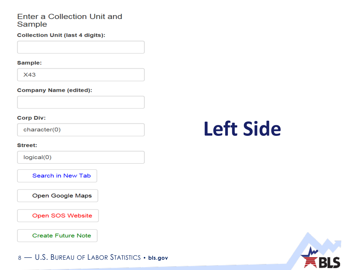#### **Enter a Collection Unit and** Sample

**Collection Unit (last 4 digits):** 

Sample:

**X43** 

#### **Company Name (edited):**

#### **Corp Div:**

character(0)

#### **Street:**

 $logical(0)$ 

Search in New Tab

Open Google Maps

Open SOS Website

**Create Future Note** 

8 - U.S. BUREAU OF LABOR STATISTICS . bls.gov

### **Left Side**

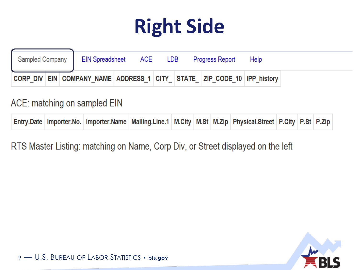## **Right Side**

| <b>Sampled Company</b> |  | EIN Spreadsheet ACE | LDB — | Progress Report                                                        | Help |  |
|------------------------|--|---------------------|-------|------------------------------------------------------------------------|------|--|
|                        |  |                     |       | CORP DIV EIN COMPANY NAME ADDRESS 1 CITY STATE ZIP CODE 10 IPP history |      |  |

### ACE: matching on sampled EIN

|  |  |  | Entry.Date   Importer.No.   Importer.Name   Mailing.Line.1   M.City   M.St   M.Zip   Physical.Street   P.City   P.St   P.Zip |  |  |
|--|--|--|------------------------------------------------------------------------------------------------------------------------------|--|--|
|  |  |  |                                                                                                                              |  |  |

RTS Master Listing: matching on Name, Corp Div, or Street displayed on the left

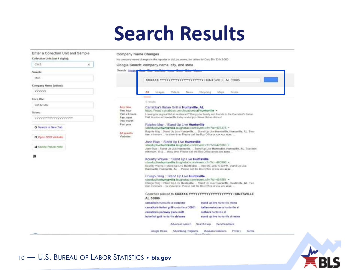### **Search Results**



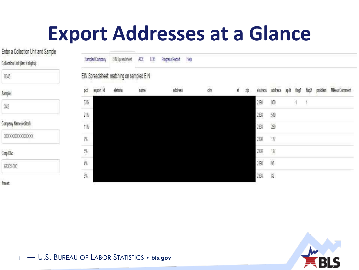### **Export Addresses at a Glance**

Enter a Collection Unit and Sample

Collection Unit (last 4 digits):

| i<br>ï<br>٠<br>×<br>í<br>٠ |  |
|----------------------------|--|
| ۰                          |  |
|                            |  |

| Company Name (edited): |  |
|------------------------|--|
|------------------------|--|

XXXXXXXXXXXXXXX

Corp Div:

67305-000

**Street:** 

|                     | Sampled Company | EIN Spreadsheet                          | АŒ   | LDB | Progress Report | Help |      |   |    |          |                |       |       |       |         |                |
|---------------------|-----------------|------------------------------------------|------|-----|-----------------|------|------|---|----|----------|----------------|-------|-------|-------|---------|----------------|
|                     |                 | EIN Spreadsheet: matching on sampled EIN |      |     |                 |      |      |   |    |          |                |       |       |       |         |                |
| pct                 | export_id       | eistrata                                 | name |     | address         |      | city | ű | żp | eistrecs | addrecs        | split | flag1 | flag2 | problem | Mike.s.Comment |
| 33%                 |                 |                                          |      |     |                 |      |      |   |    | 2398     | 800            |       |       |       |         |                |
| $\frac{21\%}{11\%}$ |                 |                                          |      |     |                 |      |      |   |    | 23%      | 510            |       |       |       |         |                |
|                     |                 |                                          |      |     |                 |      |      |   |    | 2398     | $260\,$        |       |       |       |         |                |
| $7\%$               |                 |                                          |      |     |                 |      |      |   |    | 2398     | $\overline{1}$ |       |       |       |         |                |
| e.                  |                 |                                          |      |     |                 |      |      |   |    | 2398     | $\overline{v}$ |       |       |       |         |                |
| is.                 |                 |                                          |      |     |                 |      |      |   |    | 2398     | ÿ              |       |       |       |         |                |
| Ÿ.                  |                 |                                          |      |     |                 |      |      |   |    | 2398     | $\Omega$       |       |       |       |         |                |



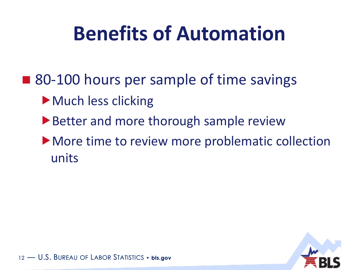### **Benefits of Automation**

- 80-100 hours per sample of time savings
	- ▶ Much less clicking
	- ▶ Better and more thorough sample review
	- More time to review more problematic collection units

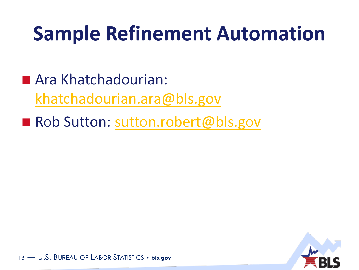### **Sample Refinement Automation**

■ Ara Khatchadourian: [khatchadourian.ara@bls.gov](mailto:khatchadourian.ara@bls.gov)

Rob Sutton: [sutton.robert@bls.gov](mailto:sutton.robert@bls.gov)

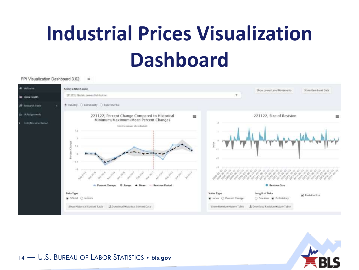## **Industrial Prices Visualization Dashboard**

PPI Visualization Dashboard 3.02 亜



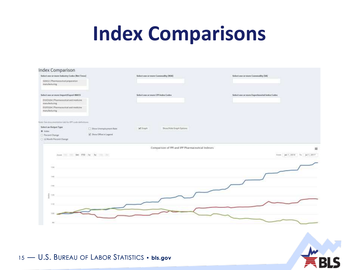### **Index Comparisons**

| Index Comparison                                        |                              |                                                  |                                             |
|---------------------------------------------------------|------------------------------|--------------------------------------------------|---------------------------------------------|
| Select one or more hutcotry Codes (Net Trees)           |                              | Select mee or more Commodby (NSA)                | Select one or more Commodby (SA)            |
| 125411 (Phormaceutical proporation<br>menutecturing     |                              |                                                  |                                             |
| Select use or more brasertil aport NAKS                 |                              | Select une or more CPI Index Codes               | Select use or more Experimental Index Cedes |
| EU/ZX294   Pharmaceutical and medicine<br>manufacturing |                              |                                                  |                                             |
| EIUNIZS4   Pharmaceutical and medicine<br>minutedumi    |                              |                                                  |                                             |
| Your See downer poler tak for PP unit eithertrare       |                              |                                                  |                                             |
| Select an Output Type                                   | [1] Show Unemalityment Rate: | <b>Show/Hide Graph Options:</b><br>Scheen        |                                             |
| E Inter<br>C Percen Ounge<br>C 12 North Percent Clunge  | S Stow Office in Legend      |                                                  |                                             |
| Joan - 6n 170 fr fr -                                   |                              | Comparison of PPI and IPP Pharmaceutical Indexes | $\equiv$<br>From Jan 1, 2018 To Jul 1, 2517 |
|                                                         |                              |                                                  |                                             |
| 1941                                                    |                              |                                                  |                                             |
| 140                                                     |                              |                                                  |                                             |
| $+10$                                                   |                              |                                                  |                                             |
| ž.<br>TPE                                               |                              |                                                  |                                             |
| 116                                                     |                              |                                                  |                                             |
| <b>TOO</b>                                              |                              |                                                  |                                             |
| 84                                                      |                              |                                                  |                                             |
|                                                         |                              |                                                  |                                             |
|                                                         |                              |                                                  |                                             |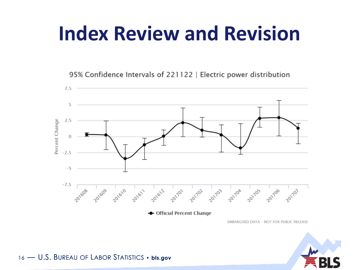### **Index Review and Revision**

95% Confidence Intervals of 221122 | Electric power distribution



EMBARGOED DATA - NOT FOR PUBLIC RELEASE

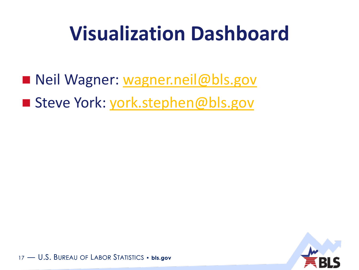### **Visualization Dashboard**

Neil Wagner: [wagner.neil@bls.gov](mailto:wagner.neil@bls.gov) ■ Steve York: [york.stephen@bls.gov](mailto:york.stephen@bls.gov)

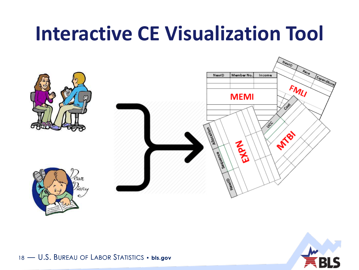

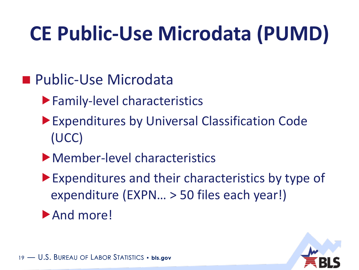## **CE Public-Use Microdata (PUMD)**

- **Public-Use Microdata** 
	- Family-level characteristics
	- Expenditures by Universal Classification Code (UCC)
	- Member-level characteristics
	- Expenditures and their characteristics by type of expenditure (EXPN… > 50 files each year!)
	- And more!

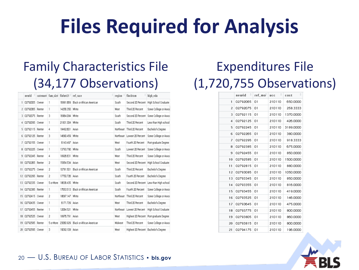### **Files Required for Analysis**

### Family Characteristics File (34,177 Observations)

|     | newid              |           | cutenure fam size finlut21 ref race |                                     | region         | finebtxm                               | high_edu                                  |
|-----|--------------------|-----------|-------------------------------------|-------------------------------------|----------------|----------------------------------------|-------------------------------------------|
| 1   | 02792005 Owner     | ĩ         |                                     | 16991 669 Black or African American | South          | Second 20 Percent                      | High School Graduate                      |
|     | 2 02792065 Renter  | ı         | 14256.350 White                     |                                     | West           | Third 20 Percent                       | Some Callege ar Assai                     |
|     | 3 02792075 Renter  | 3         | 16964.0B4 White                     |                                     | South          | Second 20 Percent                      | Some College or Assor                     |
| 4   | 02792095 Owner     | ĩ.        | 21831.304 White                     |                                     | South          | Third 20 Percent                       | Less than High school                     |
|     | 5 02792115 Renter  | 4         | 18482 501 Asian                     |                                     | Northeast      | Third 20 Percent                       | Bachelor's Degree                         |
| 6   | 02792125 Renter    | 3         | 14680.459 White                     |                                     |                | Northeast Lowest 20 Percent            | Some College or Assor                     |
|     | 7 02792155 Owner   | ĩ         | 6143.497 Asian                      |                                     | West           | Fourth 20 Percent                      | Post-graduate Degree                      |
|     | 02792225 Owner     | ı         | 13793790 White                      |                                     | South          | Lowest 20 Percent                      | Some Callege or Assor                     |
| 9   | 02792245 Renter    | 4         | 18926.631 White                     |                                     | West           | Third 20 Percent                       | Some Callege or Assor                     |
| 10  | 02792265 Renter    | 2         | 15954.534 Asian                     |                                     | West           | Second 20 Percent                      | High School Graduate                      |
| 11  | 02792275 Owner     | 2         | 10781.501                           | Black or African American           | South          | Third 20 Percent                       | Bachelor's Degree                         |
|     | 12 02792295 Renter | 2         | 17750.726 Asian                     |                                     | South          | Fourth 20 Percent                      | Bachelor's Degree                         |
|     | 13 02792335 Owner  | 5 or More | 18636.435 White                     |                                     | South          | Second 20 Percent                      | Less than High school                     |
|     | 14 02792385 Renter | ı.        |                                     | 17653.513 Black or African American | South          | Fourth 20 Percent                      | Some Callege ar Assar                     |
| 15  | 02792415 Owner     | 2         | 18687.147 White                     |                                     | Northeast      | Third 20 Percent                       | Some Callege or Assor                     |
| 16  | 02792435 Owner     | ĩ         | 6171.729 Asian                      |                                     | West           | Third 20 Percent                       | Bachelor's Degree                         |
| 17. | 02792455 Renter    | ı         | 12064.521 White                     |                                     | Northeast      | Lowest 20 Percent                      | High School Graduate                      |
| 18  | 02792525 Owner     | 2         | 18976.791 Asian                     |                                     | West           |                                        | Highest 20 Percent   Post-graduate Degree |
|     | 19 02792585 Renter | 5 or More |                                     | 23060.929 Black or African American | <b>Midwest</b> | Third 20 Percent                       | Some Callege or Assor                     |
| 20  | 02792595 Owner     | 3         | 19092.108 Asian                     |                                     | West           | Highest 20 Percent   Bachelor's Degree |                                           |

### Expenditures File (1,720,755 Observations)

|    | $newid \quad \hat{=}$ | ref mo <sup>-</sup> | $\hat{\div}$<br>ucc | ÷<br>cost |
|----|-----------------------|---------------------|---------------------|-----------|
| 1  | 02792065              | O1                  | 210110              | 650,0000  |
| 2  | 02792075              | 01                  | 210110              | 258.3333  |
| 3  | 02792115              | 01                  | 210110              | 1370.0000 |
| 4  | 02792125              | O1                  | 210110              | 426,0000  |
| 5  | 02792245              | 01                  | 210110              | 3189.0000 |
| 6  | 02792265              | O1                  | 210110              | 380.0000  |
| 7  | 02792295              | 01                  | 210110              | 918.3333  |
| 8  | 02792385              | 01                  | 210110              | 675,0000  |
| 9  | 02792455              | 01                  | 210110              | 850,0000  |
| 10 | 02792585              | 01                  | 210110              | 1500.0000 |
| 11 | 02792815              | 01                  | 210110              | 880,0000  |
| 12 | 02793085              | 01                  | 210110              | 1050.0000 |
| 13 | 02793345              | 01                  | 210110              | 850.0000  |
| 14 | 02793355              | 01                  | 210110              | 816,0000  |
| 15 | 02793455              | O1                  | 210110              | 419.0000  |
| 16 | 02793525              | 01                  | 210110              | 146.0000  |
| 17 | 02793645              | 01                  | 210110              | 475.0000  |
| 18 | 02793775              | 01                  | 210110              | 800.0000  |
| 19 | 02793805              | 01                  | 210110              | 860.0000  |
| 20 | 02793815              | 01                  | 210110              | 800.0000  |
| 21 | 02794175              | 01                  | 210110              | 196.0000  |

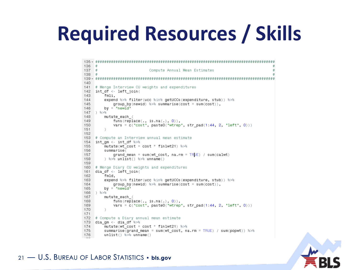### **Required Resources / Skills**

```
136 +137 +Compute Annual Mean Estimates
138 +140141 # Merge Interview CU weights and expenditures
142 int df <- left join(
143 -fmli,
144expend %>% filter(ucc %in% getUCCs(expenditure, stub)) %>%
145
           group by (newid) \gg\ summarise (cost = sum(cost)),
146
        by = "newid"
147 8>8148
        mutate_each_(
149
           funs(replace(., is.na(.), 0)),150
           vars = c("cost", paste0("wtree", str pad(1:44, 2, "left", 0)))151 -152
153 # Compute an Interview annual mean estimate
154 int_gm <- int_df %>%
155mutate(wt cost = cost * finlwt21) 8>8156
        summarise(
157
           grand mean = sum(wt cost, na.rm = TR|JE) / sum(calwt)
158
      ) %>% unlist() %>% unname()
159
160 # Merge Diary CU weights and expenditures
161 dia df <- left join(
162
        fmld,
163
        expend %>% filter(ucc %in% getUCCs(expenditure, stub)) %>%
164
           group_by(newid) \gg\ summarise(cost = sum(cost)),
165
        by = "newid"
166 ) 8>8167
        mutate_each_(
168
           funs(replace(., is.na(.), 0)),169
           vars = c("cost", paste0("wtree", str pad(1:44, 2, "left", 0)))170
        - 1
171
172 # Compute a Diary annual mean estimate
173 diagm <- diagf \approx \approx174mutate(wt\_cost = cost * finlwt21) %>%
175
        summarise(grand_mean = sum(wt_cost, na.rm = TRUE) / sum(popwt)) %>%
176
       unlist() %>% unname()
```
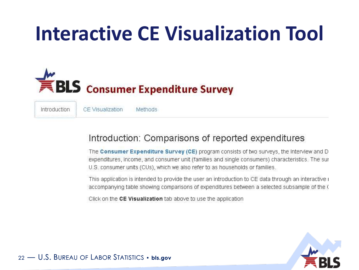

CE Visualization Introduction **Methods** 

### Introduction: Comparisons of reported expenditures

The Consumer Expenditure Survey (CE) program consists of two surveys, the Interview and D expenditures, income, and consumer unit (families and single consumers) characteristics. The sur U.S. consumer units (CUs), which we also refer to as households or families.

This application is intended to provide the user an introduction to CE data through an interactive i accompanying table showing comparisons of expenditures between a selected subsample of the C

Click on the CE Visualization tab above to use the application

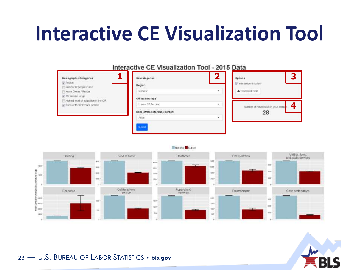| Demographic Categories<br>Di Region                        | Subcategories                | ŋ | 5<br>Options<br>The more periodent scales. |
|------------------------------------------------------------|------------------------------|---|--------------------------------------------|
| Number of people in CU                                     | Region                       |   |                                            |
| Hone Owner / Renter                                        | Midwest                      |   | A Download Table                           |
| V CU income range<br>Highest level of education in the CU. | CU income rage               |   |                                            |
| (y) Race of the reference person                           | Lowest 20 Fercent            | ۰ | Number of households in your sampl         |
|                                                            | Race of the reference person |   | 28                                         |
|                                                            | Asian                        | ٠ |                                            |



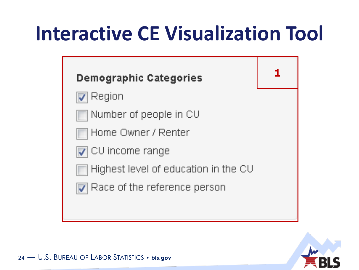

- Region
	- Number of people in CU
- Home Owner / Renter
- | CU income range
	- Highest level of education in the CU
- 
- $\overline{\mathcal{A}}$  Race of the reference person



1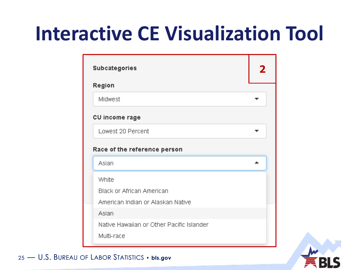| <b>Subcategories</b>                      |  |
|-------------------------------------------|--|
| Region                                    |  |
| Midwest                                   |  |
| CU income rage                            |  |
| Lowest 20 Percent                         |  |
| Race of the reference person              |  |
| Asian                                     |  |
| White                                     |  |
| <b>Black or African American</b>          |  |
| American Indian or Alaskan Native         |  |
| Asian                                     |  |
| Native Hawaiian or Other Pacific Islander |  |
| Multi-race                                |  |

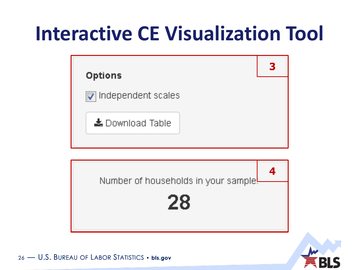

Number of households in your sample!





Δ.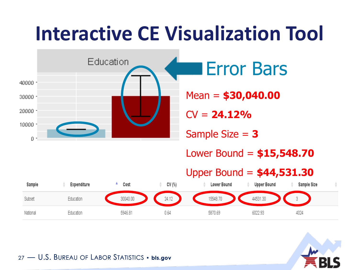

0.64

5870.69

6022.93

4024

27 — U.S. BUREAU OF LABOR STATISTICS • **bls.gov**

Education

National

5946.81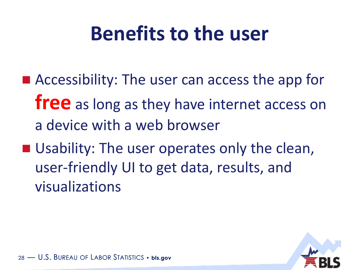### **Benefits to the user**

- Accessibility: The user can access the app for **free** as long as they have internet access on a device with a web browser
- Usability: The user operates only the clean, user-friendly UI to get data, results, and visualizations

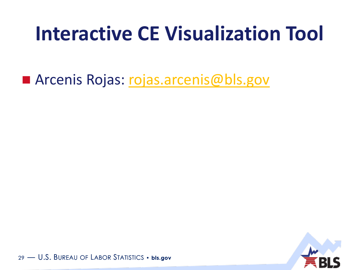Arcenis Rojas: [rojas.arcenis@bls.gov](mailto:rojas.arcenis@bls.gov)

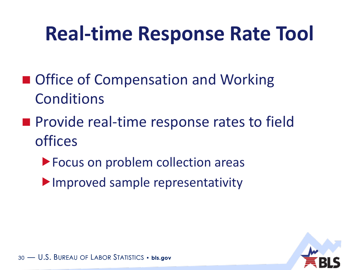### **Real-time Response Rate Tool**

- Office of Compensation and Working Conditions
- **Provide real-time response rates to field** offices
	- **Focus on problem collection areas**
	- **Improved sample representativity**

![](_page_29_Picture_5.jpeg)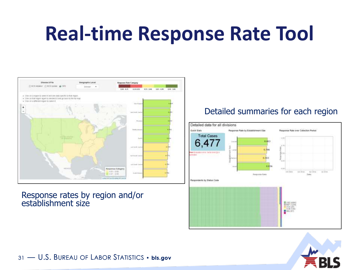### **Real-time Response Rate Tool**

![](_page_30_Figure_1.jpeg)

#### Response rates by region and/or establishment size

#### Detailed summaries for each region

![](_page_30_Figure_4.jpeg)

![](_page_30_Picture_5.jpeg)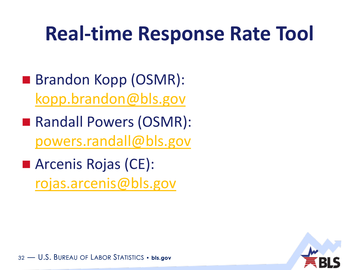### **Real-time Response Rate Tool**

- Brandon Kopp (OSMR): [kopp.brandon@bls.gov](mailto:kopp.brandon@bls.gov)
- Randall Powers (OSMR): [powers.randall@bls.gov](mailto:powers.randall@bls.gov)
- Arcenis Rojas (CE): [rojas.arcenis@bls.gov](mailto:rojas.arcenis@bls.gov)

![](_page_31_Picture_4.jpeg)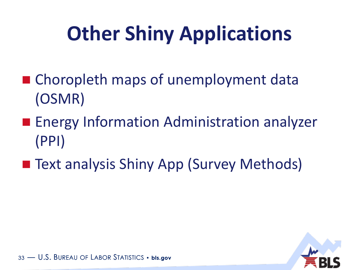## **Other Shiny Applications**

- Choropleth maps of unemployment data (OSMR)
- **Energy Information Administration analyzer** (PPI)
- Text analysis Shiny App (Survey Methods)

![](_page_32_Picture_4.jpeg)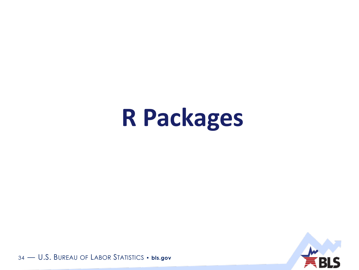## R Packages

![](_page_33_Picture_1.jpeg)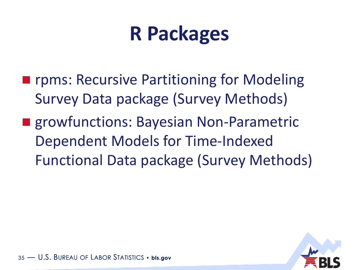### **R Packages**

- **F** rpms: Recursive Partitioning for Modeling Survey Data package (Survey Methods)
- **Exercise Same Entire Serve Entranced Entriced Entric** Bayesian Non-Parametric Dependent Models for Time-Indexed Functional Data package (Survey Methods)

![](_page_34_Picture_3.jpeg)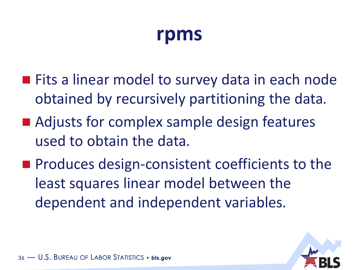### **rpms**

- **Fits a linear model to survey data in each node** obtained by recursively partitioning the data.
- Adjusts for complex sample design features used to obtain the data.
- **Produces design-consistent coefficients to the** least squares linear model between the dependent and independent variables.

![](_page_35_Picture_4.jpeg)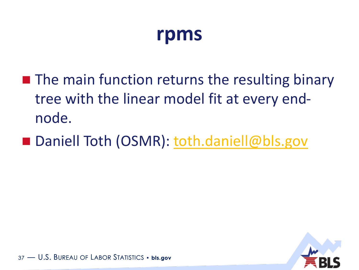### **rpms**

- $\blacksquare$  The main function returns the resulting binary tree with the linear model fit at every endnode.
- Daniell Toth (OSMR): [toth.daniell@bls.gov](mailto:toth.daniell@bls.gov)

![](_page_36_Picture_3.jpeg)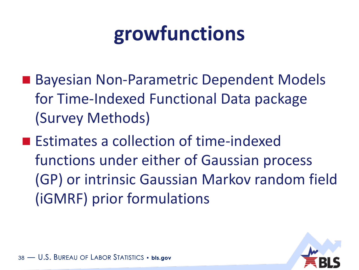### **growfunctions**

- Bayesian Non-Parametric Dependent Models for Time-Indexed Functional Data package (Survey Methods)
- Estimates a collection of time-indexed functions under either of Gaussian process (GP) or intrinsic Gaussian Markov random field (iGMRF) prior formulations

![](_page_37_Picture_3.jpeg)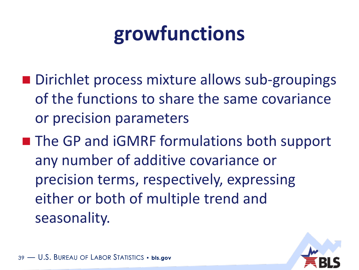### **growfunctions**

- Dirichlet process mixture allows sub-groupings of the functions to share the same covariance or precision parameters
- The GP and iGMRF formulations both support any number of additive covariance or precision terms, respectively, expressing either or both of multiple trend and seasonality.

![](_page_38_Picture_3.jpeg)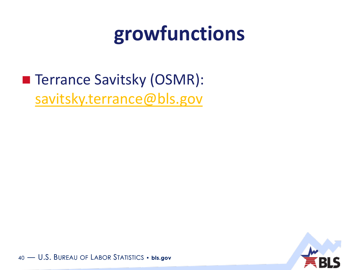### growfunctions

### ■ Terrance Savitsky (OSMR): savitsky.terrance@bls.gov

![](_page_39_Picture_2.jpeg)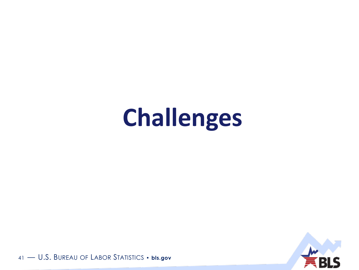# **Challenges**

![](_page_40_Picture_1.jpeg)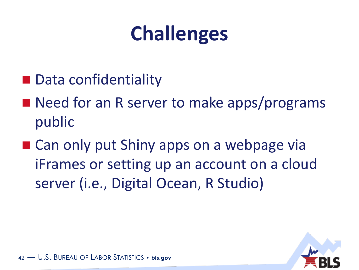### **Challenges**

- Data confidentiality
- Need for an R server to make apps/programs public
- Can only put Shiny apps on a webpage via iFrames or setting up an account on a cloud server (i.e., Digital Ocean, R Studio)

![](_page_41_Picture_4.jpeg)